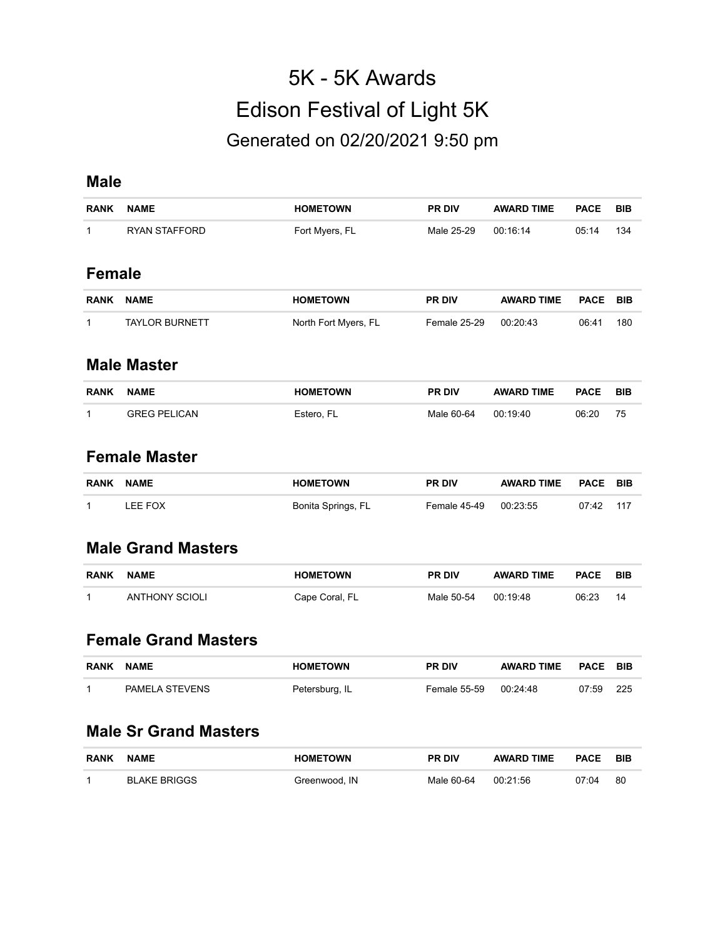# 5K - 5K Awards Edison Festival of Light 5K Generated on 02/20/2021 9:50 pm

#### **Male**

| <b>RANK</b>   | <b>NAME</b>           | <b>HOMETOWN</b>      | <b>PR DIV</b>       | <b>AWARD TIME</b> | <b>PACE</b> | <b>BIB</b> |
|---------------|-----------------------|----------------------|---------------------|-------------------|-------------|------------|
| 1             | <b>RYAN STAFFORD</b>  | Fort Myers, FL       | Male 25-29          | 00:16:14          | 05:14       | 134        |
| <b>Female</b> |                       |                      |                     |                   |             |            |
| <b>RANK</b>   | <b>NAME</b>           | <b>HOMETOWN</b>      | <b>PR DIV</b>       | <b>AWARD TIME</b> | <b>PACE</b> | <b>BIB</b> |
| 1             | <b>TAYLOR BURNETT</b> | North Fort Myers, FL | <b>Female 25-29</b> | 00:20:43          | 06:41       | 180        |
|               | <b>Male Master</b>    |                      |                     |                   |             |            |
| <b>RANK</b>   | <b>NAME</b>           | <b>HOMETOWN</b>      | <b>PR DIV</b>       | <b>AWARD TIME</b> | <b>PACE</b> | <b>BIB</b> |

### **Female Master**

| <b>RANK</b> | <b>NAME</b> | <b>HOMETOWN</b>    | <b>PR DIV</b> | <b>AWARD TIME</b> | <b>PACE BIB</b> |        |
|-------------|-------------|--------------------|---------------|-------------------|-----------------|--------|
|             | LEE FOX     | Bonita Springs, FL | Female 45-49  | 00:23:55          | 07:42           | $-117$ |

1 GREG PELICAN Estero, FL Male 60-64 00:19:40 06:20 75

#### **Male Grand Masters**

| <b>RANK</b> | <b>NAME</b>           | <b>HOMETOWN</b> | <b>PR DIV</b> | <b>AWARD TIME</b> | <b>PACE</b> | <b>BIE</b> |
|-------------|-----------------------|-----------------|---------------|-------------------|-------------|------------|
|             | <b>ANTHONY SCIOLI</b> | Cape Coral, FL  | Male 50-54    | 00:19:48          | 06:23       | 14         |

#### **Female Grand Masters**

| RANK | <b>NAME</b>    | <b>HOMETOWN</b> | <b>PR DIV</b> | <b>AWARD TIME</b> | <b>PACE BIB</b> |       |
|------|----------------|-----------------|---------------|-------------------|-----------------|-------|
|      | PAMELA STEVENS | Petersburg, IL  | Female 55-59  | 00:24:48          | 07:59           | - 225 |

#### **Male Sr Grand Masters**

| <b>RANK</b> | <b>NAME</b>  | <b>HOMETOWN</b> | <b>PR DIV</b> | <b>AWARD TIME</b> | <b>PACE</b> | <b>BIB</b> |
|-------------|--------------|-----------------|---------------|-------------------|-------------|------------|
|             | BLAKE BRIGGS | Greenwood. IN   | Male 60-64    | 00:21:56          | 07:04       | 80         |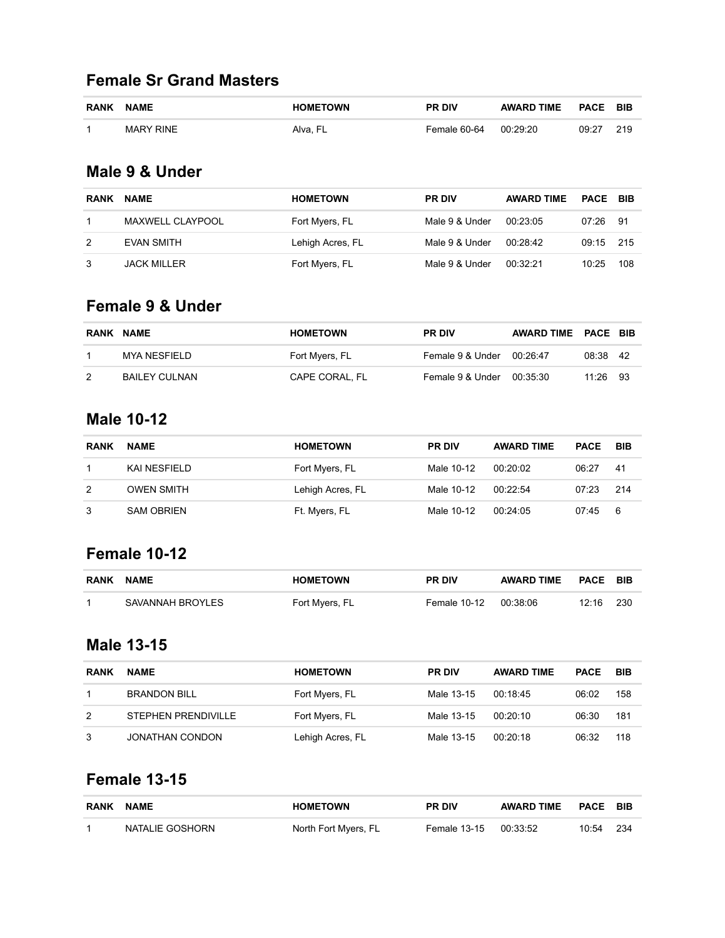### **Female Sr Grand Masters**

| <b>RANK</b> | <b>NAME</b>      | <b>HOMETOWN</b> | <b>PR DIV</b> | <b>AWARD TIME</b> | <b>PACE</b> | BIB |
|-------------|------------------|-----------------|---------------|-------------------|-------------|-----|
| 1           | <b>MARY RINE</b> | Alva. FL        | Female 60-64  | 00:29:20          | 09:27       | 219 |

### **Male 9 & Under**

| <b>RANK</b> | <b>NAME</b>             | <b>HOMETOWN</b>  | <b>PR DIV</b>  | <b>AWARD TIME</b> | <b>PACE BIB</b> |      |
|-------------|-------------------------|------------------|----------------|-------------------|-----------------|------|
|             | <b>MAXWELL CLAYPOOL</b> | Fort Myers, FL   | Male 9 & Under | 00:23:05          | 07:26           | - 91 |
| 2           | <b>EVAN SMITH</b>       | Lehigh Acres, FL | Male 9 & Under | 00:28:42          | 09:15 215       |      |
| 3           | JACK MILLER             | Fort Myers, FL   | Male 9 & Under | 00.32.21          | 10:25           | 108  |

#### **Female 9 & Under**

| RANK NAME |               | <b>HOMETOWN</b> | <b>PR DIV</b>             | AWARD TIME PACE BIB |          |  |
|-----------|---------------|-----------------|---------------------------|---------------------|----------|--|
|           | MYA NESFIELD  | Fort Myers, FL  | Female 9 & Under 00:26:47 |                     | 08:38 42 |  |
| 2         | BAILEY CULNAN | CAPE CORAL. FL  | Female 9 & Under          | 00:35:30            | 11:26 93 |  |

### **Male 10-12**

| <b>RANK</b> | <b>NAME</b>       | <b>HOMETOWN</b>  | <b>PR DIV</b> | <b>AWARD TIME</b> | <b>PACE</b> | BIB  |
|-------------|-------------------|------------------|---------------|-------------------|-------------|------|
|             | KAI NESFIELD      | Fort Myers, FL   | Male 10-12    | 00:20:02          | 06:27       | -41  |
| 2           | <b>OWEN SMITH</b> | Lehigh Acres, FL | Male 10-12    | 00.22.54          | 07:23       | -214 |
|             | <b>SAM OBRIEN</b> | Ft. Myers, FL    | Male 10-12    | 00:24:05          | 07:45       | -6   |

# **Female 10-12**

| <b>RANK</b> | <b>NAME</b>      | <b>HOMETOWN</b> | <b>PR DIV</b> | <b>AWARD TIME</b> | <b>PACE</b> | – BIB |
|-------------|------------------|-----------------|---------------|-------------------|-------------|-------|
|             | SAVANNAH BROYLES | Fort Myers, FL  | Female 10-12  | 00:38:06          | 12:16       | 230   |

#### **Male 13-15**

| <b>RANK</b> | <b>NAME</b>                | <b>HOMETOWN</b>  | <b>PR DIV</b> | <b>AWARD TIME</b> | <b>PACE</b> | BIB |
|-------------|----------------------------|------------------|---------------|-------------------|-------------|-----|
|             | <b>BRANDON BILL</b>        | Fort Myers, FL   | Male 13-15    | 00:18:45          | 06:02       | 158 |
| 2           | <b>STEPHEN PRENDIVILLE</b> | Fort Myers, FL   | Male 13-15    | 00:20:10          | 06:30       | 181 |
| 3           | JONATHAN CONDON            | Lehigh Acres, FL | Male 13-15    | 00.20.18          | 06:32       | 118 |

# **Female 13-15**

| <b>RANK</b> | <b>NAME</b>     | <b>HOMETOWN</b>      | <b>PR DIV</b>         | <b>AWARD TIME</b> | <b>PACE BIB</b> |     |
|-------------|-----------------|----------------------|-----------------------|-------------------|-----------------|-----|
|             | NATALIE GOSHORN | North Fort Myers, FL | Female 13-15 00:33:52 |                   | 10:54           | 234 |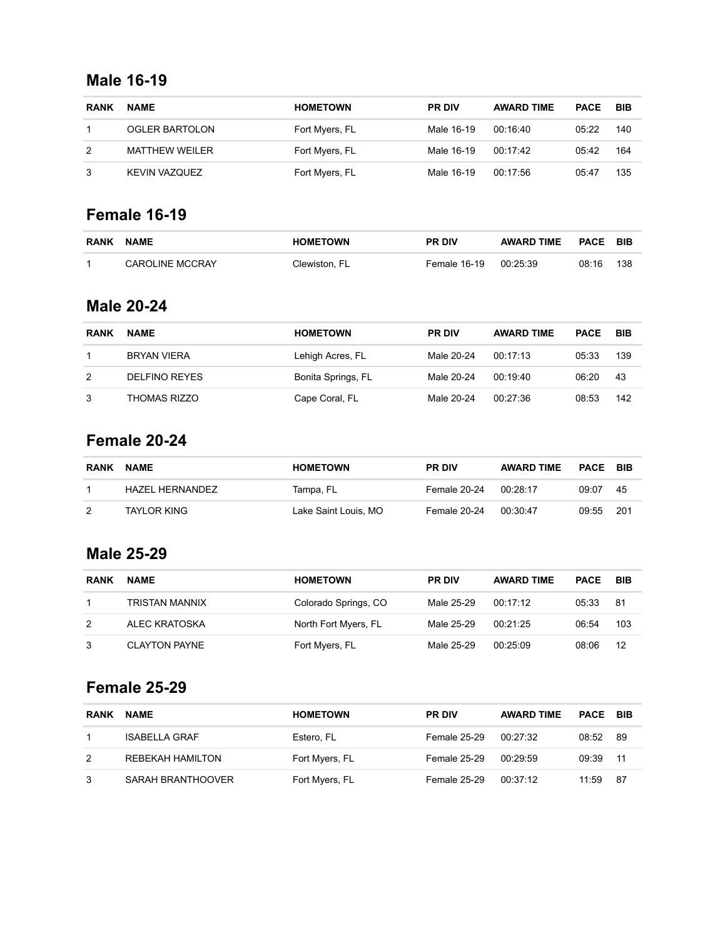### **Male 16-19**

| <b>RANK</b> | <b>NAME</b>           | <b>HOMETOWN</b> | <b>PR DIV</b> | <b>AWARD TIME</b> | <b>PACE</b> | <b>BIB</b> |
|-------------|-----------------------|-----------------|---------------|-------------------|-------------|------------|
|             | <b>OGLER BARTOLON</b> | Fort Myers, FL  | Male 16-19    | 00:16:40          | 05:22       | 140        |
| 2           | <b>MATTHEW WEILER</b> | Fort Myers, FL  | Male 16-19    | 00.17.42          | 05:42       | 164        |
|             | KEVIN VAZQUEZ         | Fort Myers, FL  | Male 16-19    | 00:17:56          | 05:47       | 135        |

# **Female 16-19**

| <b>RANK</b> | <b>NAME</b>            | <b>HOMETOWN</b> | <b>PR DIV</b> | <b>AWARD TIME</b> | PACE  | – BIB |
|-------------|------------------------|-----------------|---------------|-------------------|-------|-------|
|             | <b>CAROLINE MCCRAY</b> | Clewiston, FL   | Female 16-19  | 00:25:39          | 08:16 | 138   |

#### **Male 20-24**

| <b>RANK</b> | <b>NAME</b>          | <b>HOMETOWN</b>    | <b>PR DIV</b> | <b>AWARD TIME</b> | <b>PACE</b> | BIB |
|-------------|----------------------|--------------------|---------------|-------------------|-------------|-----|
|             | <b>BRYAN VIERA</b>   | Lehigh Acres, FL   | Male 20-24    | 00.17.13          | 05:33       | 139 |
| 2           | <b>DELFINO REYES</b> | Bonita Springs, FL | Male 20-24    | 00:19:40          | 06:20       | 43  |
| 3           | THOMAS RIZZO         | Cape Coral, FL     | Male 20-24    | 00:27:36          | 08:53       | 142 |

# **Female 20-24**

| <b>RANK</b> | <b>NAME</b>        | <b>HOMETOWN</b>      | <b>PR DIV</b> | <b>AWARD TIME</b> | <b>PACE</b> | – BIB |
|-------------|--------------------|----------------------|---------------|-------------------|-------------|-------|
|             | HAZEL HERNANDEZ    | Tampa, FL            | Female 20-24  | 00:28:17          | 09:07       | -45   |
| 2           | <b>TAYLOR KING</b> | Lake Saint Louis, MO | Female 20-24  | 00:30:47          | 09:55       | -201  |

### **Male 25-29**

| <b>RANK</b> | <b>NAME</b>           | <b>HOMETOWN</b>      | <b>PR DIV</b> | <b>AWARD TIME</b> | <b>PACE</b> | BIB |
|-------------|-----------------------|----------------------|---------------|-------------------|-------------|-----|
|             | <b>TRISTAN MANNIX</b> | Colorado Springs, CO | Male 25-29    | 00:17:12          | 05:33       | -81 |
| 2           | ALEC KRATOSKA         | North Fort Myers, FL | Male 25-29    | 00:21:25          | 06:54       | 103 |
|             | <b>CLAYTON PAYNE</b>  | Fort Myers, FL       | Male 25-29    | 00:25:09          | 08:06       | 12  |

# **Female 25-29**

| <b>RANK</b> | <b>NAME</b>              | <b>HOMETOWN</b> | <b>PR DIV</b> | <b>AWARD TIME</b> | <b>PACE BIB</b> |     |
|-------------|--------------------------|-----------------|---------------|-------------------|-----------------|-----|
|             | <b>ISABELLA GRAF</b>     | Estero, FL      | Female 25-29  | 00:27:32          | 08:52           | 89  |
| 2           | REBEKAH HAMILTON         | Fort Myers, FL  | Female 25-29  | 00:29:59          | 09:39           | -11 |
|             | <b>SARAH BRANTHOOVER</b> | Fort Myers, FL  | Female 25-29  | 00:37:12          | 11:59           | -87 |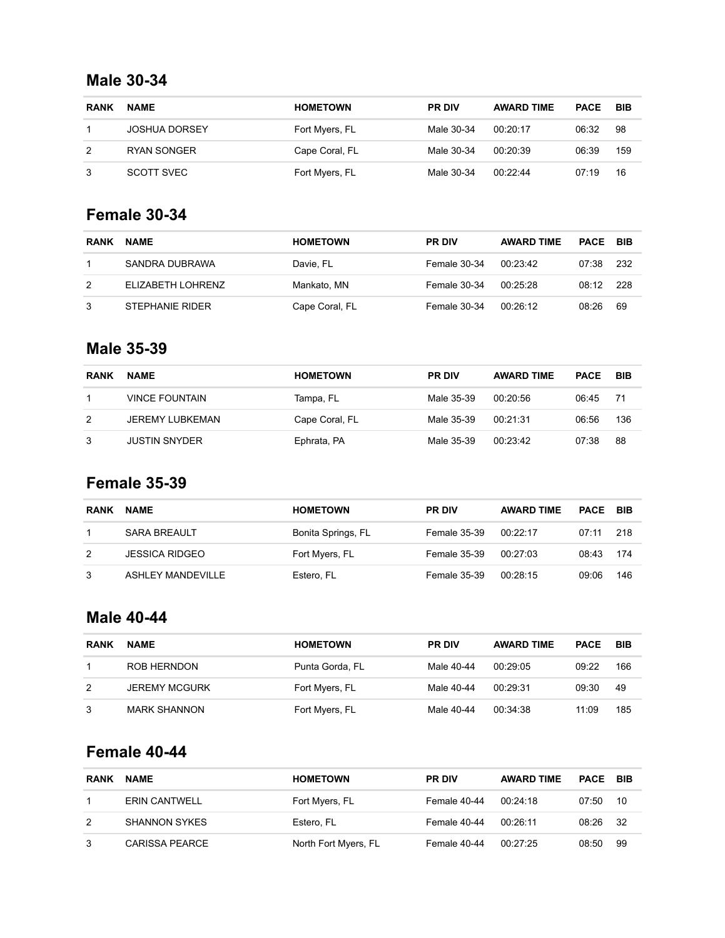### **Male 30-34**

| <b>RANK</b> | <b>NAME</b>          | <b>HOMETOWN</b> | <b>PR DIV</b> | <b>AWARD TIME</b> | <b>PACE</b> | <b>BIB</b> |
|-------------|----------------------|-----------------|---------------|-------------------|-------------|------------|
|             | <b>JOSHUA DORSEY</b> | Fort Myers, FL  | Male 30-34    | 00.20.17          | 06:32       | 98         |
| 2           | RYAN SONGER          | Cape Coral, FL  | Male 30-34    | 00:20:39          | 06:39       | 159        |
|             | SCOTT SVEC           | Fort Myers, FL  | Male 30-34    | 00:22:44          | 07:19       | 16         |

# **Female 30-34**

| <b>RANK</b> | <b>NAME</b>       | <b>HOMETOWN</b> | <b>PR DIV</b> | <b>AWARD TIME</b> | PACE  | – BIB |
|-------------|-------------------|-----------------|---------------|-------------------|-------|-------|
|             | SANDRA DUBRAWA    | Davie, FL       | Female 30-34  | 00.23.42          | 07:38 | -232  |
| 2           | ELIZABETH LOHRENZ | Mankato, MN     | Female 30-34  | 00:25:28          | 08:12 | - 228 |
| 3           | STEPHANIE RIDER   | Cape Coral, FL  | Female 30-34  | 00:26:12          | 08:26 | 69    |

#### **Male 35-39**

| <b>RANK</b> | <b>NAME</b>           | <b>HOMETOWN</b> | <b>PR DIV</b> | <b>AWARD TIME</b> | <b>PACE</b> | BIB |
|-------------|-----------------------|-----------------|---------------|-------------------|-------------|-----|
|             | <b>VINCE FOUNTAIN</b> | Tampa, FL       | Male 35-39    | 00:20:56          | 06:45       | 71  |
| 2           | JEREMY LUBKEMAN       | Cape Coral, FL  | Male 35-39    | 00:21:31          | 06:56       | 136 |
| 3           | <b>JUSTIN SNYDER</b>  | Ephrata, PA     | Male 35-39    | 00.23.42          | 07:38       | 88  |

# **Female 35-39**

| <b>RANK</b> | <b>NAME</b>              | <b>HOMETOWN</b>    | <b>PR DIV</b> | <b>AWARD TIME</b> | <b>PACE</b> | - BIB |
|-------------|--------------------------|--------------------|---------------|-------------------|-------------|-------|
|             | <b>SARA BREAULT</b>      | Bonita Springs, FL | Female 35-39  | 00:22:17          | 07:11       | -218  |
| 2           | <b>JESSICA RIDGEO</b>    | Fort Myers, FL     | Female 35-39  | 00:27:03          | 08:43       | -174  |
|             | <b>ASHLEY MANDEVILLE</b> | Estero, FL         | Female 35-39  | 00:28:15          | 09:06       | 146   |

### **Male 40-44**

| <b>RANK</b> | <b>NAME</b>          | <b>HOMETOWN</b> | <b>PR DIV</b> | <b>AWARD TIME</b> | <b>PACE</b> | <b>BIB</b> |
|-------------|----------------------|-----------------|---------------|-------------------|-------------|------------|
|             | ROB HERNDON          | Punta Gorda, FL | Male 40-44    | 00.2905           | 09:22       | 166        |
| 2           | <b>JEREMY MCGURK</b> | Fort Myers, FL  | Male 40-44    | 00:29:31          | 09:30       | 49         |
|             | <b>MARK SHANNON</b>  | Fort Myers, FL  | Male 40-44    | 00:34:38          | 11:09       | 185        |

# **Female 40-44**

| <b>RANK</b> | <b>NAME</b>           | <b>HOMETOWN</b>      | <b>PR DIV</b> | <b>AWARD TIME</b> | PACE  | – BIB |
|-------------|-----------------------|----------------------|---------------|-------------------|-------|-------|
|             | ERIN CANTWELL         | Fort Myers, FL       | Female 40-44  | 00:24:18          | 07:50 | 10    |
| 2           | <b>SHANNON SYKES</b>  | Estero, FL           | Female 40-44  | 00:26:11          | 08:26 | - 32  |
|             | <b>CARISSA PEARCE</b> | North Fort Myers, FL | Female 40-44  | 00:27:25          | 08:50 | 99    |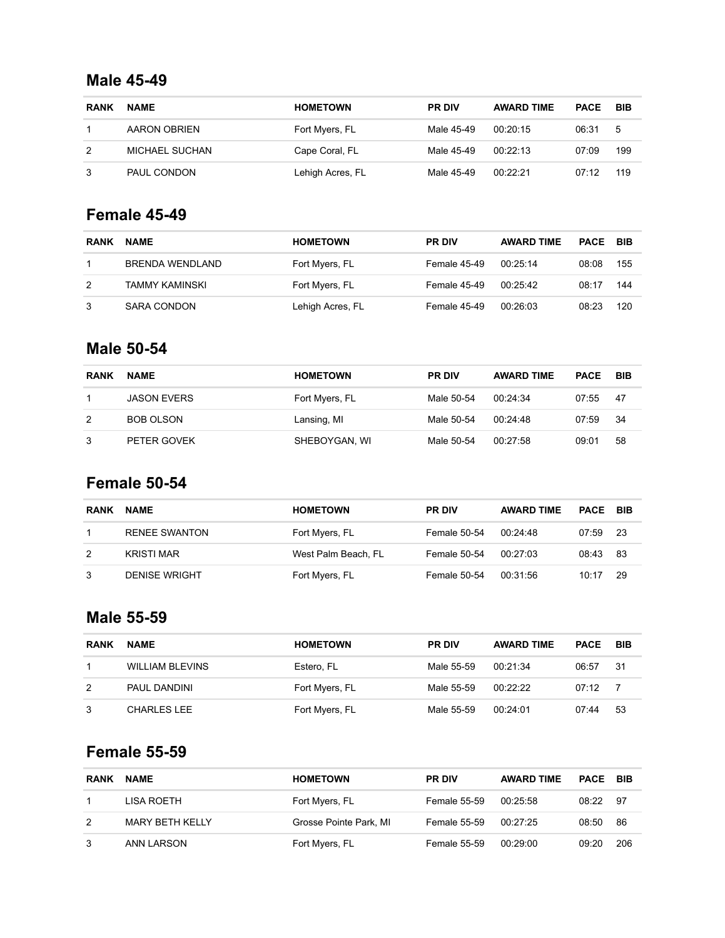#### **Male 45-49**

| <b>RANK</b> | <b>NAME</b>    | <b>HOMETOWN</b>  | <b>PR DIV</b> | <b>AWARD TIME</b> | <b>PACE</b> | BIB |
|-------------|----------------|------------------|---------------|-------------------|-------------|-----|
|             | AARON OBRIEN   | Fort Myers, FL   | Male 45-49    | 00:20:15          | 06:31       | -5  |
| 2           | MICHAEL SUCHAN | Cape Coral, FL   | Male 45-49    | 00.22.13          | 07:09       | 199 |
| 3           | PAUL CONDON    | Lehigh Acres, FL | Male 45-49    | 00:22:21          | 07:12       | 119 |

# **Female 45-49**

| <b>RANK</b> | <b>NAME</b>        | <b>HOMETOWN</b>  | <b>PR DIV</b> | <b>AWARD TIME</b> | <b>PACE</b> | BIB |
|-------------|--------------------|------------------|---------------|-------------------|-------------|-----|
|             | BRENDA WENDLAND    | Fort Myers, FL   | Female 45-49  | 00:25:14          | 08:08       | 155 |
| 2           | TAMMY KAMINSKI     | Fort Myers, FL   | Female 45-49  | 00:25:42          | 08:17       | 144 |
| 3           | <b>SARA CONDON</b> | Lehigh Acres, FL | Female 45-49  | 00:26:03          | 08:23       | 120 |

#### **Male 50-54**

| <b>RANK</b> | <b>NAME</b>        | <b>HOMETOWN</b> | <b>PR DIV</b> | <b>AWARD TIME</b> | <b>PACE</b> | BIB |
|-------------|--------------------|-----------------|---------------|-------------------|-------------|-----|
|             | <b>JASON EVERS</b> | Fort Myers, FL  | Male 50-54    | 00:24:34          | 07:55       | -47 |
| 2           | <b>BOB OLSON</b>   | Lansing, MI     | Male 50-54    | 00:24:48          | 07:59       | 34  |
| 3           | PETER GOVEK        | SHEBOYGAN, WI   | Male 50-54    | 00:27:58          | 09:01       | 58  |

# **Female 50-54**

| <b>RANK</b> | <b>NAME</b>          | <b>HOMETOWN</b>     | <b>PR DIV</b> | <b>AWARD TIME</b> | <b>PACE</b> | – BIB |
|-------------|----------------------|---------------------|---------------|-------------------|-------------|-------|
|             | <b>RENEE SWANTON</b> | Fort Myers, FL      | Female 50-54  | 00:24:48          | 07:59       | -23   |
| 2           | <b>KRISTI MAR</b>    | West Palm Beach, FL | Female 50-54  | 00:27:03          | 08:43       | -83   |
| 3           | <b>DENISE WRIGHT</b> | Fort Myers, FL      | Female 50-54  | 00:31:56          | 10:17       | -29   |

### **Male 55-59**

| <b>RANK</b> | <b>NAME</b>            | <b>HOMETOWN</b> | <b>PR DIV</b> | <b>AWARD TIME</b> | <b>PACE</b> | BIB |
|-------------|------------------------|-----------------|---------------|-------------------|-------------|-----|
|             | <b>WILLIAM BLEVINS</b> | Estero. FL      | Male 55-59    | 00:21:34          | 06:57       | -31 |
| 2           | PAUL DANDINI           | Fort Myers, FL  | Male 55-59    | 00.22.22          | 07:12       | -7  |
|             | <b>CHARLES LEE</b>     | Fort Myers, FL  | Male 55-59    | 00:24:01          | 07:44       | 53  |

# **Female 55-59**

| <b>RANK</b> | <b>NAME</b>            | <b>HOMETOWN</b>        | <b>PR DIV</b>       | <b>AWARD TIME</b> | <b>PACE BIB</b> |      |
|-------------|------------------------|------------------------|---------------------|-------------------|-----------------|------|
|             | LISA ROETH             | Fort Myers, FL         | Female 55-59        | 00:25:58          | 08:22           | - 97 |
| 2           | <b>MARY BETH KELLY</b> | Grosse Pointe Park, MI | <b>Female 55-59</b> | 00:27:25          | 08:50           | 86   |
| 3           | ANN LARSON             | Fort Myers, FL         | Female 55-59        | 00:29:00          | 09:20           | -206 |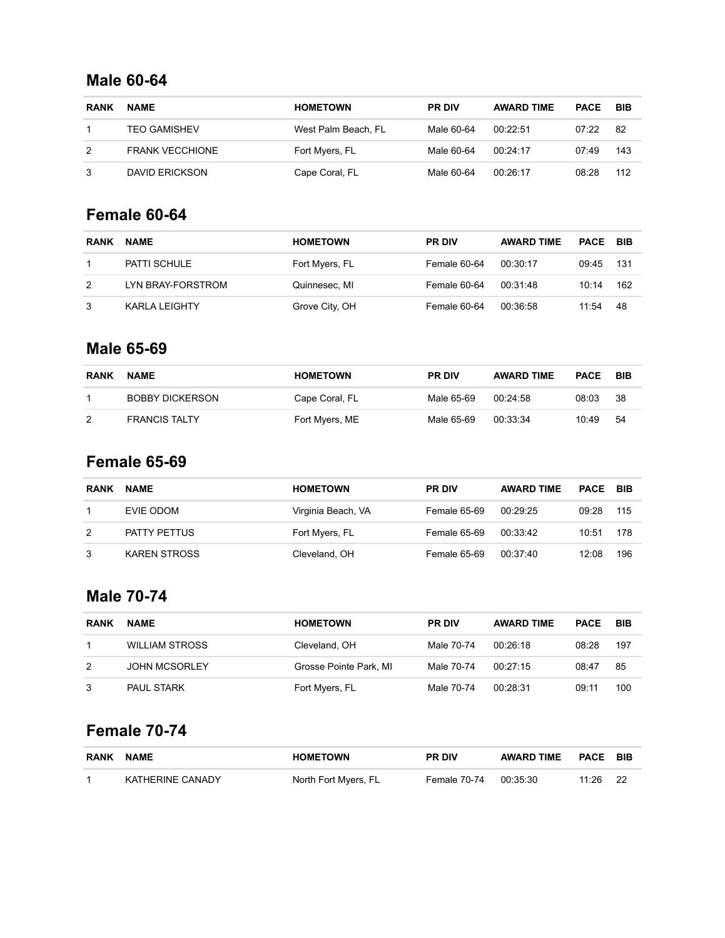#### **Male 60-64**

| <b>RANK</b> | <b>NAME</b>            | <b>HOMETOWN</b>     | <b>PR DIV</b> | <b>AWARD TIME</b> | <b>PACE</b> | BIB |
|-------------|------------------------|---------------------|---------------|-------------------|-------------|-----|
|             | <b>TEO GAMISHEV</b>    | West Palm Beach, FL | Male 60-64    | 00.22.51          | 07:22       | -82 |
| 2           | <b>FRANK VECCHIONE</b> | Fort Myers, FL      | Male 60-64    | 00:24:17          | 07:49       | 143 |
|             | <b>DAVID ERICKSON</b>  | Cape Coral, FL      | Male 60-64    | 00:26:17          | 08:28       | 112 |

### **Female 60-64**

| <b>RANK</b> | <b>NAME</b>          | <b>HOMETOWN</b> | <b>PR DIV</b> | <b>AWARD TIME</b> | PACE  | – BIB |
|-------------|----------------------|-----------------|---------------|-------------------|-------|-------|
|             | PATTI SCHULE         | Fort Myers, FL  | Female 60-64  | 00:30:17          | 09:45 | 131   |
| 2           | LYN BRAY-FORSTROM    | Quinnesec, MI   | Female 60-64  | 00:31:48          | 10:14 | 162   |
| 3           | <b>KARLA LEIGHTY</b> | Grove City, OH  | Female 60-64  | 00:36:58          | 11:54 | 48    |

#### **Male 65-69**

| <b>RANK</b> | <b>NAME</b>            | <b>HOMETOWN</b> | <b>PR DIV</b> | <b>AWARD TIME</b> | <b>PACE BIB</b> |     |
|-------------|------------------------|-----------------|---------------|-------------------|-----------------|-----|
|             | <b>BOBBY DICKERSON</b> | Cape Coral, FL  | Male 65-69    | 00:24:58          | 08:03           | -38 |
| 2           | <b>FRANCIS TALTY</b>   | Fort Myers, ME  | Male 65-69    | 00:33:34          | 10:49           | -54 |

# **Female 65-69**

| <b>RANK</b> | <b>NAME</b>         | <b>HOMETOWN</b>    | <b>PR DIV</b> | <b>AWARD TIME</b> | <b>PACE</b> | BIB |
|-------------|---------------------|--------------------|---------------|-------------------|-------------|-----|
|             | EVIE ODOM           | Virginia Beach, VA | Female 65-69  | 00:29:25          | 09:28       | 115 |
| 2           | <b>PATTY PETTUS</b> | Fort Myers, FL     | Female 65-69  | 00:33:42          | 10:51       | 178 |
| 3           | <b>KAREN STROSS</b> | Cleveland, OH      | Female 65-69  | 00:37:40          | 12:08       | 196 |

# **Male 70-74**

| <b>RANK</b> | <b>NAME</b>           | <b>HOMETOWN</b>        | <b>PR DIV</b> | <b>AWARD TIME</b> | <b>PACE</b> | BIB |
|-------------|-----------------------|------------------------|---------------|-------------------|-------------|-----|
|             | <b>WILLIAM STROSS</b> | Cleveland, OH          | Male 70-74    | 00:26:18          | 08:28       | 197 |
| 2           | <b>JOHN MCSORLEY</b>  | Grosse Pointe Park, MI | Male 70-74    | 00:27:15          | 08:47       | 85  |
|             | <b>PAUL STARK</b>     | Fort Myers, FL         | Male 70-74    | 00:28:31          | 09:11       | 100 |

# **Female 70-74**

| RANK | <b>NAME</b>      | <b>HOMETOWN</b>      | <b>PR DIV</b> | AWARD TIME | <b>PACE BIB</b> |     |
|------|------------------|----------------------|---------------|------------|-----------------|-----|
|      | KATHERINE CANADY | North Fort Myers, FL | Female 70-74  | 00:35:30   | 11:26           | -22 |